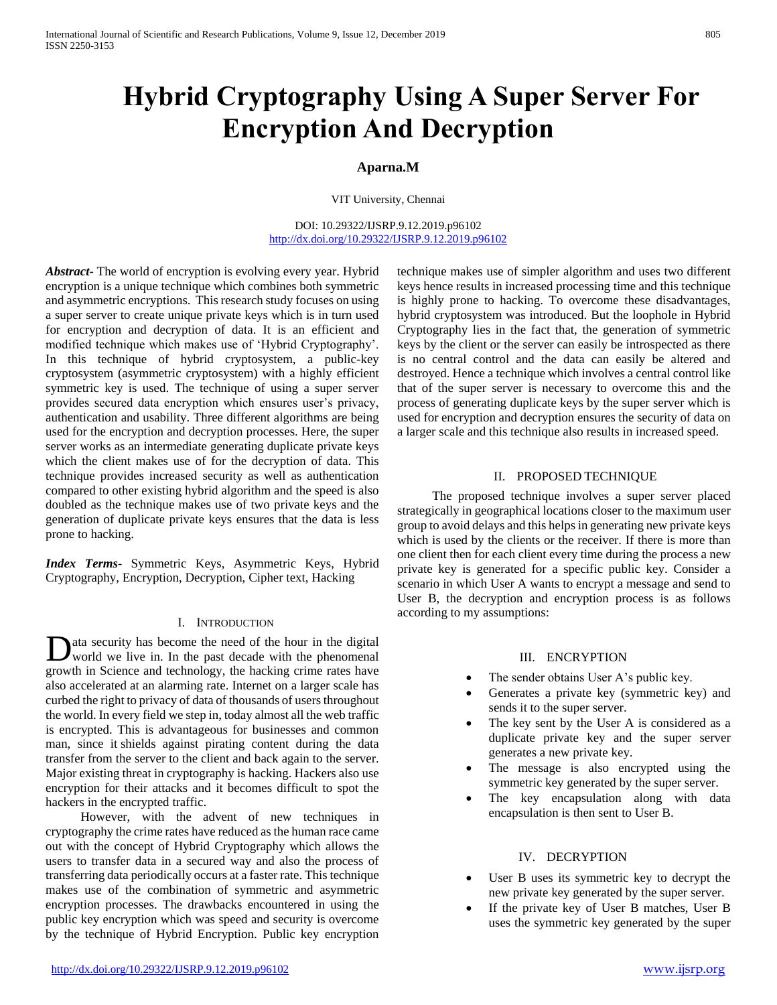# **Hybrid Cryptography Using A Super Server For Encryption And Decryption**

## **Aparna.M**

VIT University, Chennai

DOI: 10.29322/IJSRP.9.12.2019.p96102 <http://dx.doi.org/10.29322/IJSRP.9.12.2019.p96102>

*Abstract***-** The world of encryption is evolving every year. Hybrid encryption is a unique technique which combines both symmetric and asymmetric encryptions. This research study focuses on using a super server to create unique private keys which is in turn used for encryption and decryption of data. It is an efficient and modified technique which makes use of 'Hybrid Cryptography'. In this technique of hybrid cryptosystem, a public-key cryptosystem (asymmetric cryptosystem) with a highly efficient symmetric key is used. The technique of using a super server provides secured data encryption which ensures user's privacy, authentication and usability. Three different algorithms are being used for the encryption and decryption processes. Here, the super server works as an intermediate generating duplicate private keys which the client makes use of for the decryption of data. This technique provides increased security as well as authentication compared to other existing hybrid algorithm and the speed is also doubled as the technique makes use of two private keys and the generation of duplicate private keys ensures that the data is less prone to hacking.

*Index Terms*- Symmetric Keys, Asymmetric Keys, Hybrid Cryptography, Encryption, Decryption, Cipher text, Hacking

## I. INTRODUCTION

ata security has become the need of the hour in the digital world we live in. In the past decade with the phenomenal growth in Science and technology, the hacking crime rates have also accelerated at an alarming rate. Internet on a larger scale has curbed the right to privacy of data of thousands of users throughout the world. In every field we step in, today almost all the web traffic is encrypted. This is advantageous for businesses and common man, since it shields against pirating content during the data transfer from the server to the client and back again to the server. Major existing threat in cryptography is hacking. Hackers also use encryption for their attacks and it becomes difficult to spot the hackers in the encrypted traffic. D

 However, with the advent of new techniques in cryptography the crime rates have reduced as the human race came out with the concept of Hybrid Cryptography which allows the users to transfer data in a secured way and also the process of transferring data periodically occurs at a faster rate. This technique makes use of the combination of symmetric and asymmetric encryption processes. The drawbacks encountered in using the public key encryption which was speed and security is overcome by the technique of Hybrid Encryption. Public key encryption

technique makes use of simpler algorithm and uses two different keys hence results in increased processing time and this technique is highly prone to hacking. To overcome these disadvantages, hybrid cryptosystem was introduced. But the loophole in Hybrid Cryptography lies in the fact that, the generation of symmetric keys by the client or the server can easily be introspected as there is no central control and the data can easily be altered and destroyed. Hence a technique which involves a central control like that of the super server is necessary to overcome this and the process of generating duplicate keys by the super server which is used for encryption and decryption ensures the security of data on a larger scale and this technique also results in increased speed.

#### II. PROPOSED TECHNIQUE

 The proposed technique involves a super server placed strategically in geographical locations closer to the maximum user group to avoid delays and this helps in generating new private keys which is used by the clients or the receiver. If there is more than one client then for each client every time during the process a new private key is generated for a specific public key. Consider a scenario in which User A wants to encrypt a message and send to User B, the decryption and encryption process is as follows according to my assumptions:

## III. ENCRYPTION

- The sender obtains User A's public key.
- Generates a private key (symmetric key) and sends it to the super server.
- The key sent by the User A is considered as a duplicate private key and the super server generates a new private key.
- The message is also encrypted using the symmetric key generated by the super server.
- The key encapsulation along with data encapsulation is then sent to User B.

## IV. DECRYPTION

- User B uses its symmetric key to decrypt the new private key generated by the super server.
- If the private key of User B matches, User B uses the symmetric key generated by the super